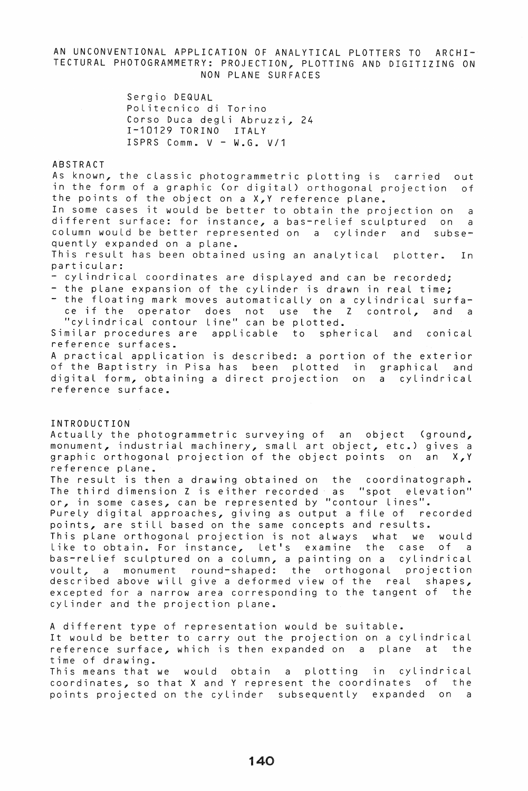## AN UNCONVENTIONAL APPLICATION OF ANALYTICAL PLOTTERS TO ARCHI-TECTURAL PHOTOGRAMMETRY: PROJECTION, PLOTTING AND DIGITIZING ON NON PLANE SURFACES

Sergio DEQUAL Politecnico di Torino Corso Duca degli Abruzzi, 24<br>I-10129 TORINO ITALY  $I-10129$  TORINO ISPRS Comma V - W.G. *V/1* 

ABSTRACT

As known, the classic photogrammetric plotting is carried out in the form of a graphic (or digital) orthogonal projection of the points of the object on a X, Y reference plane.

In some cases it would be better to obtain the projection on a different surface: for instance, a bas-relief sculptured on a column would be better represented on a cylinder and subsequently expanded on a plane.

This result has been obtained using an analytical plotter. In particular:

- cylindrical coordinates are displayed and can be recorded;
- the plane expansion of the cylinder is drawn in real time;
- the floating mark moves automatically on a cylindrical surface if the operator does not use the Z control, and a "cylindrical contour line" can be plotted.

Similar procedures are applicabLe to sphericaL and conicaL reference surfaces.

A practical appLication is described: a portion of the exterior of the Baptistry in Pisa has been pLotted in graphicaL and digitaL form, obtaining a direct projection on a cyLindricaL reference surface.

INTRODUCTION

ActuaLLy the photogrammetric surveying of an object (ground, monument, industriaL machinery, smaLL art object, etc.) gives a graphic orthogonal projection of the object points on an X, Y reference pLane.

The result is then a drawing obtained on the coordinatograph. The third dimension Z is either recorded as "spot eLevation" or, in some cases, can be represented by "contour Lines". PureLy digitaL approaches, giving as output a fiLe of recorded points, are still based on the same concepts and results. This pLane orthogonaL projection is not aLways what we wouLd Like to obtain. For instance, Let's examine the case of a bas-relief sculptured on a column, a painting on a cylindrical voult, a monument round-shaped: the orthogonal projection described above will give a deformed view of the real shapes, excepted for a narrow area corresponding to the tangent of the

cyLinder and the projection pLane.

A different type of representation wouLd be suitabLe. It would be better to carry out the projection on a cylindrical reference surface, which is then expanded on a pLane at the time of drawing.

This means that we wouLd obtain a pLotting in cyLindricaL coordinates, so that X and Y represent the coordinates of the points projected on the cylinder subsequentLy expanded on a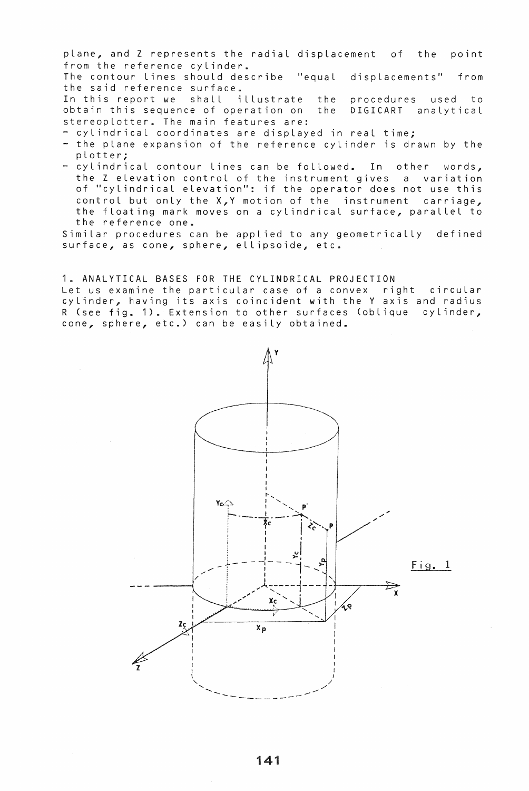plane, and Z represents the radial displacement of the point from the reference cylinder.

The contour lines should describe "equal displacements" from the said reference surface.

In this report we shall illustrate procedures used to the obtain this sequence of operation on the DIGICART analytical stereoplotter. The main features are:

- cylindrical coordinates are displayed in real time;
- the plane expansion of the reference cylinder is drawn by the plotter;
- cylindrical contour lines can be followed. In other words. the Z elevation control of the instrument gives a variation of "cylindrical elevation": if the operator does not use this control but only the X, Y motion of the instrument carriage, the floating mark moves on a cylindrical surface, parallel to the reference one.

Similar procedures can be applied to any geometrically defined surface, as cone, sphere, ellipsoide, etc.

1. ANALYTICAL BASES FOR THE CYLINDRICAL PROJECTION Let us examine the particular case of a convex right circular<br>cylinder, having its axis coincident with the Y axis and radius R (see fig. 1). Extension to other surfaces (oblique cylinder, cone, sphere, etc.) can be easily obtained.

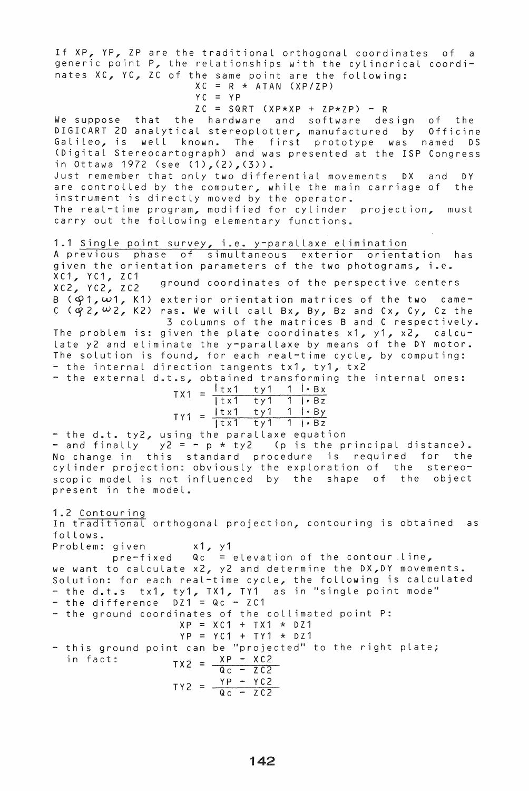If XP, YP, ZP are the traditional orthogonal coordinates of generic point P, the relationships with the cylindrical coordinates XC, YC, ZC of the same point are the following:  $XC = R \times ATAN$   $(XP/ZP)$  $YC = YP$  $ZC = SQRT (XP*XP + ZP*ZP) - R$ We suppose that the hardware and software design of the DIGICART 20 analytical stereoplotter, manufactured by Officine Galileo, is well known. The first prototype was named DS (Digital Stereocartograph) and was presented at the ISP Congress in Ottawa 1972 (see (1),(2),(3)). Just remember that only two differential movements DX and DY are controlled by the computer, while the main carriage of the instrument is directly moved by the operator. The real-time program, modified for cylinder projection, must carry out the following elementary functions. 1.1 Single point survey, i.e. y-parallaxe elimination A previous phase of simultaneous exterior orientation given the orientation parameters of the two photograms, i.e. has XC1, YC1, ZC1 ground coordinates of the perspective centers  $\mathsf{B}$  ( $\mathsf{\mathcal{Q}}$ 1, $\omega$ 1, K1) exterior orientation matrices of the two came- $C$  ( $Q$ 2,  $W$ 2, K2) ras. We will call Bx, By, Bz and Cx, Cy, Cz the 3 columns of the matrices Band C respectively. The problem is: given the plate coordinates x1, y1, x2, calculate y2 and eliminate the y-parallaxe by means of the DY motor. The solution is found, for each real-time cycle, by computing: - the internal direction tangents tx1, ty1, tx2 - the external d.t.s, obtained transforming the internal ones:  $TX1 = \frac{1 \text{tx1 } \text{ty1 } 1 \text{1} \cdot \text{Bx}}{1 \text{tx1 } \text{ty1 } 1 \text{1} \cdot \text{Bz}}$  $TY1 = \frac{ix1 - xy1 - 1 + By}{ }$ Itx1 ty1 1 i"Bz - the d.t. ty2, using the parallaxe equation<br>- and finally y2 = - p \* ty2 (p is the principal distance). No change in this standard procedure is required for the cylinder projection: obviously the exploration of the stereoscopic model is not influenced by the shape of the object present in the model. 1.2 Contouring In traditional orthogonal projection, contouring is obtained as follows.

Problem: given x1, y1  $\frac{1}{2}$  are  $\frac{1}{2}$  . The set of the contour line, we want to calculate x2, y2 and determine the DX, DY movements. Solution: for each real-time cycle, the following is calculated - the d.t.s tx1, ty1, TX1, TY1 as in "single point mode"  $-$  the difference  $DZ1 = Qc - ZC1$ - the ground coordinates of the collimated point P: - this ground point can be "projected" to the right plate; in fact:  $XP = XC1 + TX1 + D21$  $YP = YC1 + TY1 \times DZ1$  $TX2 = \frac{XP - XC2}{Qc - ZC2}$  $TYZ = \frac{YP - YC2}{QC - ZC2}$ 

```
142
```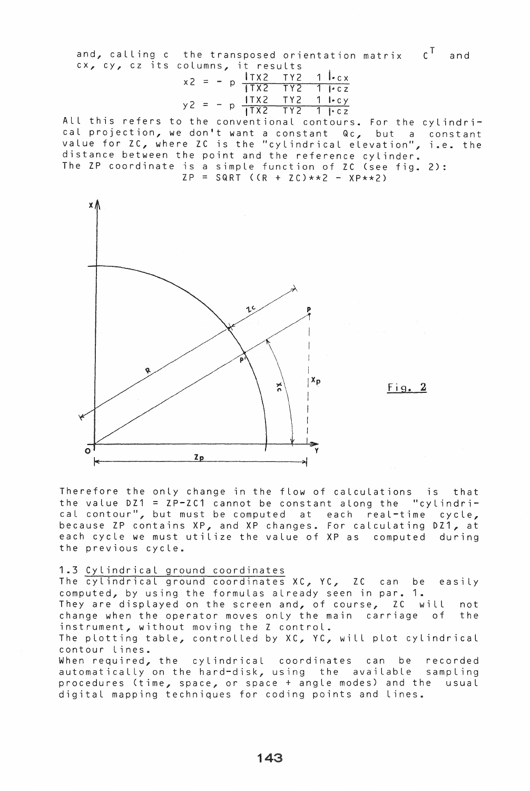and, calling c the transposed orientation matrix  $C^T$  and cx, cy, cz its columns, it results

| х 2 |  |  | $ITX2$ $TY2$ 1 $I$ $c$ $x$ |  |
|-----|--|--|----------------------------|--|
|     |  |  | $ITX2$ $TY2$ $1/cz$        |  |
|     |  |  | $ITX2$ $TY2$ 1 $I-cy$      |  |
|     |  |  | $ITX2$ $TY2$ $1 \cdot cz$  |  |

All this refers to the conventional contours. For the cylindrical projection, we don't want a constant Qc, but a constant<br>value for ZC, where ZC is the "cylindrical elevation", i.e. the distance between the point and the reference cylinder. The ZP coordinate is a simple function of ZC (see fig. 2):  $ZP = SQRT$  ((R + ZC) \* \* 2 - XP \* \* 2)



 $Fig. 2$ 

Therefore the only change in the flow of calculations is that the value  $DZ1 = ZP-ZC1$  cannot be constant along the "cylindrical contour", but must be computed at each real-time cycle, because ZP contains XP, and XP changes. For calculating DZ1, at<br>each cycle we must utilize the value of XP as computed during the previous cycle.

## 1.3 Cylindrical ground coordinates

The cylindrical ground coordinates XC, YC, ZC can be easily computed, by using the formulas already seen in par. 1. They are displayed on the screen and, of course, ZC will not change when the operator moves only the main carriage of the instrument, without moving the Z control.

The plotting table, controlled by XC, YC, will plot cylindrical contour lines.

When required, the cylindrical coordinates can be recorded automatically on the hard-disk, using the available sampling procedures (time, space, or space + angle modes) and the usual digital mapping techniques for coding points and lines.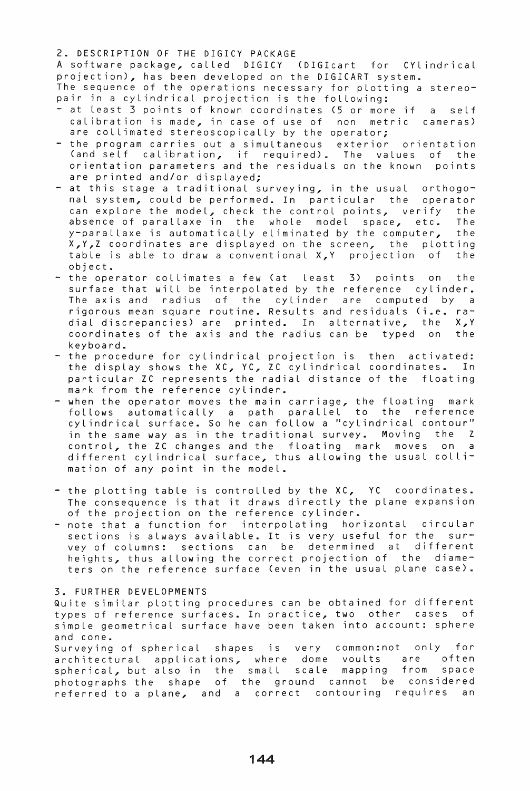2. DESCRIPTION OF THE DIGICY PACKAGE

A software package, caLLed DIGICY (DIGIcart for CYLindricaL projection), has been deveLoped on the DIGICART system.

The sequence of the operations necessary for plotting a stereopair in a cylindrical projection is the following:

- at least 3 points of known coordinates (5 or more if a self caLibration is made, in case of use of non metric cameras) are collimated stereoscopically by the operator;
- the program carries out a simultaneous exterior orientation (and seLf caLibration, if required). The vaLues of the orientation parameters and the residuaLs on the known points are printed and/or dispLayed;
- at this stage a traditional surveying, in the usual orthogonaL system, couLd be performed. In particuLar the operator can expLore the modeL, check the controL points, verify the absence of parallaxe in the whole model space, etc. The y-paraLLaxe is automaticaLLy eLiminated by the computer, the y-parallaxe is automatically eliminated by the computer, the<br> $X,Y,Z$  coordinates are displayed on the screen, the plotting tabLe is abLe to draw a conventionaL X,Y projection of the object.
- the operator coLLimates a few (at Least 3) points on the surface that will be interpolated by the reference cylinder. The axis and radius of the cyLinder are computed by a rigorous mean square routine. Results and residuals (i.e. ra-<br>dial discrepancies) are printed. In alternative, the X.Y dial discrepancies) are printed. In alternative, the coordinates of the axis and the radius can be typed on the keyboard.
- the procedure for cylindrical projection is then activated: the display shows the XC, YC, ZC cyLindricaL coordinates. In particuLar ZC represents the radiaL distance of the fLoating mark from the reference cyLinder.
- when the operator moves the main carriage, the floating mark foLLows automaticalLy a path paraLLeL to the reference cylindrical surface. So he can follow a "cylindrical contour"<br>in the same way as in the traditional survey. Moving the Z in the same way as in the traditional survey. Moving controL, the ZC changes and the floating mark moves on a different cylindrical surface, thus allowing the usual collimation of any point in the model.
- the plotting table is controlled by the XC, YC coordinates. The consequence is that it draws directly the pLane expansion of the projection on the reference cyLinder.
- note that a function for interpolating horizontal circular sections is always available. It is very useful for the survey of columns: sections can be determined at different heights, thus aLlowing the correct projection of the diameters on the reference surface (even in the usual pLane case).

## 3. FURTHER DEVELOPMENTS

Quite simiLar plotting procedures can be obtained for different types of reference surfaces. In practice, two other cases of simpLe geometricaL surface have been taken into account: sphere and cone.

Surveying of sphericaL shapes is very common:not onLy for architectural applications, where dome voults are often sphericaL, but aLso in the smaLL scaLe mapping from space spherical, but also in the small scale mapping from space<br>photographs the shape of the ground cannot be considered referred to a pLane, and a correct contouring requires an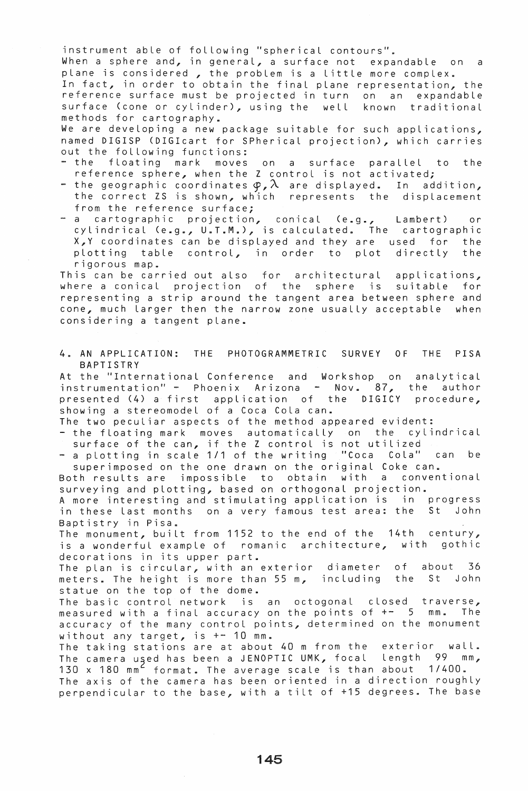instrument able of following "spherical contours" .. When a sphere and, in general, a surface not expandable on a plane is considered, the problem is a little more complex. In fact, in order to obtain the final plane representation, the reference surface must be projected in turn on an expandabLe surface (cone or cylinder), using the well known traditional methods for cartography.

We are developing a new package suitable for such applications, named DIGISP (DIGIcart for SPherical projection), which carries out the following functions:

- the floating mark moves on a surface parallel to reference sphere, when the Z control is not activated; the
- the geographic coordinates  $\phi$ ,  $\lambda$  are displayed. In addition, the correct ZS is shown, which represents the displacement from the reference surface;
- a cartographic projection, conical (e.g., Lambert) or cylindrical (e.g., U.T.M.), is calculated. The cartographic X,Y coordinates can be displayed and they are used for the plotting table control, in order to plot directly the rigorous map ..

This can be carried out also for architectural applications, where a conical projection of the sphere is suitable for representing a strip around the tangent area between sphere and cone, much larger then the narrow zone usually acceptable when considering a tangent pLane.

4 .. AN APPLICATION: THE PHOTOGRAMMETRIC SURVEY OF THE PISA BAPTISTRY

At the "International Conference and Workshop on analytical instrumentation" - Phoenix Arizona - Nov.  $87$ , the author presented (4) a first application of the DIGICY procedure, showing a stereomodel of a Coca Cola can.

The two peculiar aspects of the method appeared evident:

- the floating mark moves automatically on the cylindrical surface of the can, if the Z control is not utilized

- a plotting in scale 1/1 of the writing "Coca Cola" can be superimposed on the one drawn on the original Coke can.

Both results are impossible to obtain with a conventional surveying and plotting, based on orthogonal projection. A more interesting and stimulating application is in progress

in these last months on a very famous test area: the St John Baptistry in Pisa.

The monument, built from 1152 to the end of the 14th century, is a wonderful example of romanic architecture, with gothic decorations in its upper part.

The plan is circular, with an exterior diameter of about 36 meters. The height is more than 55 m, including the St John statue on the top of the dome.

The basic control network is an octogonal closed traverse, measured with a final accuracy on the points of +- 5 mm. The accuracy of the many control points, determined on the monument without any target, is  $+-10$  mm.

The taking stations are at about 40 m from the exterior wall. The camera used has been a JENOPTIC UMK, focal length 99 mm, 130 x 180 mm format. The average scale is than about *1/400.* 

The axis of the camera has been oriented in a direction roughly perpendicular to the base, with a tilt of +15 degrees. The base